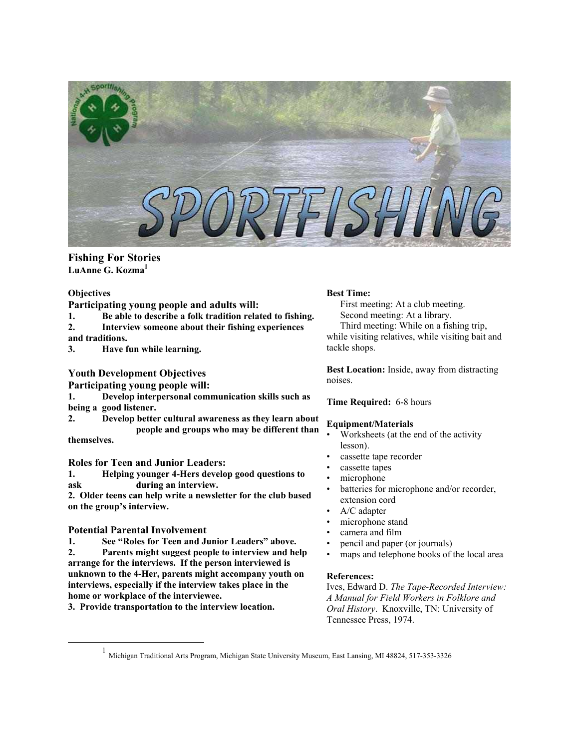

# **Fishing For Stories LuAnne G. Kozma [1](#page-0-0)**

#### **Objectives**

**Participating young people and adults will:**

- **1. Be able to describe a folk tradition related to fishing. 2. Interview someone about their fishing experiences**
- **and traditions.**
- **3. Have fun while learning.**

# **Youth Development Objectives**

**Participating young people will:** 

- **1. Develop interpersonal communication skills such as being a good listener.**
- **2. Develop better cultural awareness as they learn about people and groups who may be different than themselves.**

## **Roles for Teen and Junior Leaders:**

**1. Helping younger 4-Hers develop good questions to ask during an interview.** 

**2. Older teens can help write a newsletter for the club based on the group's interview.**

# **Potential Parental Involvement**

**1. See "Roles for Teen and Junior Leaders" above. 2. Parents might suggest people to interview and help arrange for the interviews. If the person interviewed is unknown to the 4-Her, parents might accompany youth on interviews, especially if the interview takes place in the home or workplace of the interviewee.** 

**3. Provide transportation to the interview location.**

## **Best Time:**

First meeting: At a club meeting. Second meeting: At a library. Third meeting: While on a fishing trip, while visiting relatives, while visiting bait and tackle shops.

**Best Location:** Inside, away from distracting noises.

## **Time Required:** 6-8 hours

## **Equipment/Materials**

- Worksheets (at the end of the activity lesson).
- cassette tape recorder
- cassette tapes
- microphone
- batteries for microphone and/or recorder, extension cord
- A/C adapter
- microphone stand
- camera and film
- pencil and paper (or journals)
- maps and telephone books of the local area

## **References:**

Ives, Edward D. *The Tape-Recorded Interview: A Manual for Field Workers in Folklore and Oral History*. Knoxville, TN: University of Tennessee Press, 1974.

<span id="page-0-0"></span><sup>&</sup>lt;u>1</u> 1 Michigan Traditional Arts Program, Michigan State University Museum, East Lansing, MI 48824, 517-353-3326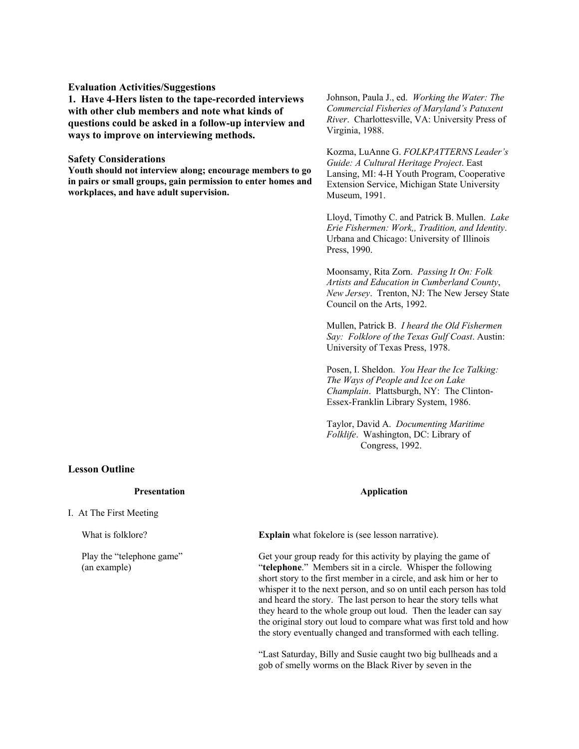#### **Evaluation Activities/Suggestions**

**1. Have 4-Hers listen to the tape-recorded interviews with other club members and note what kinds of questions could be asked in a follow-up interview and ways to improve on interviewing methods.** 

#### **Safety Considerations**

**Youth should not interview along; encourage members to go in pairs or small groups, gain permission to enter homes and workplaces, and have adult supervision.** 

# **Lesson Outline**

**Presentation** 

I. At The First Meeting

What is folklore?

Play the "telephone game" (an example)

Johnson, Paula J., ed. *Working the Water: The Commercial Fisheries of Maryland's Patuxent River*. Charlottesville, VA: University Press of Virginia, 1988.

Kozma, LuAnne G. *FOLKPATTERNS Leader's Guide: A Cultural Heritage Project*. East Lansing, MI: 4-H Youth Program, Cooperative Extension Service, Michigan State University Museum, 1991.

Lloyd, Timothy C. and Patrick B. Mullen. *Lake Erie Fishermen: Work,, Tradition, and Identity*. Urbana and Chicago: University of Illinois Press, 1990.

Moonsamy, Rita Zorn. *Passing It On: Folk Artists and Education in Cumberland County*, *New Jersey*. Trenton, NJ: The New Jersey State Council on the Arts, 1992.

Mullen, Patrick B. *I heard the Old Fishermen Say: Folklore of the Texas Gulf Coast*. Austin: University of Texas Press, 1978.

Posen, I. Sheldon. *You Hear the Ice Talking: The Ways of People and Ice on Lake Champlain*. Plattsburgh, NY: The Clinton-Essex-Franklin Library System, 1986.

Taylor, David A. *Documenting Maritime Folklife*. Washington, DC: Library of Congress, 1992.

#### **Application**

**Explain** what fokelore is (see lesson narrative).

Get your group ready for this activity by playing the game of "**telephone**." Members sit in a circle. Whisper the following short story to the first member in a circle, and ask him or her to whisper it to the next person, and so on until each person has told and heard the story. The last person to hear the story tells what they heard to the whole group out loud. Then the leader can say the original story out loud to compare what was first told and how the story eventually changed and transformed with each telling.

"Last Saturday, Billy and Susie caught two big bullheads and a gob of smelly worms on the Black River by seven in the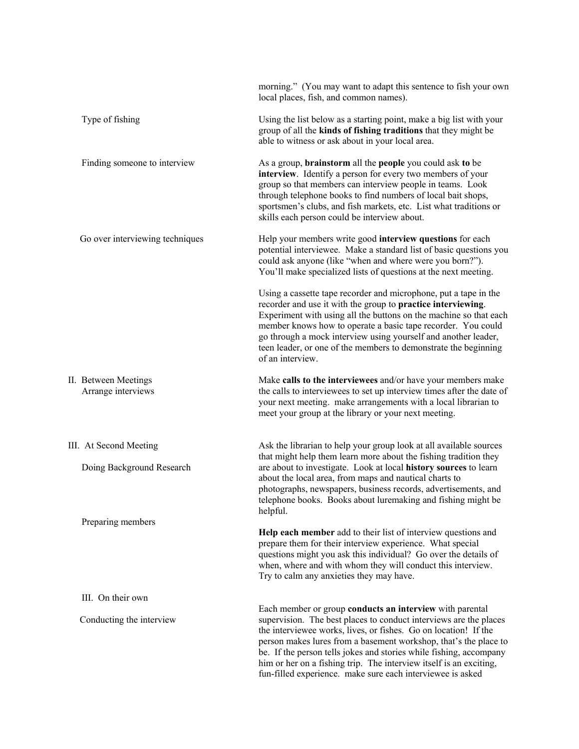|                                                                          | morning." (You may want to adapt this sentence to fish your own<br>local places, fish, and common names).                                                                                                                                                                                                                                                                                                                                                                      |
|--------------------------------------------------------------------------|--------------------------------------------------------------------------------------------------------------------------------------------------------------------------------------------------------------------------------------------------------------------------------------------------------------------------------------------------------------------------------------------------------------------------------------------------------------------------------|
| Type of fishing                                                          | Using the list below as a starting point, make a big list with your<br>group of all the kinds of fishing traditions that they might be<br>able to witness or ask about in your local area.                                                                                                                                                                                                                                                                                     |
| Finding someone to interview                                             | As a group, <b>brainstorm</b> all the <b>people</b> you could ask to be<br>interview. Identify a person for every two members of your<br>group so that members can interview people in teams. Look<br>through telephone books to find numbers of local bait shops,<br>sportsmen's clubs, and fish markets, etc. List what traditions or<br>skills each person could be interview about.                                                                                        |
| Go over interviewing techniques                                          | Help your members write good interview questions for each<br>potential interviewee. Make a standard list of basic questions you<br>could ask anyone (like "when and where were you born?").<br>You'll make specialized lists of questions at the next meeting.                                                                                                                                                                                                                 |
|                                                                          | Using a cassette tape recorder and microphone, put a tape in the<br>recorder and use it with the group to practice interviewing.<br>Experiment with using all the buttons on the machine so that each<br>member knows how to operate a basic tape recorder. You could<br>go through a mock interview using yourself and another leader,<br>teen leader, or one of the members to demonstrate the beginning<br>of an interview.                                                 |
| II. Between Meetings<br>Arrange interviews                               | Make calls to the interviewees and/or have your members make<br>the calls to interviewees to set up interview times after the date of<br>your next meeting. make arrangements with a local librarian to<br>meet your group at the library or your next meeting.                                                                                                                                                                                                                |
| III. At Second Meeting<br>Doing Background Research<br>Preparing members | Ask the librarian to help your group look at all available sources<br>that might help them learn more about the fishing tradition they<br>are about to investigate. Look at local history sources to learn<br>about the local area, from maps and nautical charts to<br>photographs, newspapers, business records, advertisements, and<br>telephone books. Books about luremaking and fishing might be<br>helpful.                                                             |
|                                                                          | Help each member add to their list of interview questions and<br>prepare them for their interview experience. What special<br>questions might you ask this individual? Go over the details of<br>when, where and with whom they will conduct this interview.<br>Try to calm any anxieties they may have.                                                                                                                                                                       |
| III. On their own                                                        |                                                                                                                                                                                                                                                                                                                                                                                                                                                                                |
| Conducting the interview                                                 | Each member or group conducts an interview with parental<br>supervision. The best places to conduct interviews are the places<br>the interviewee works, lives, or fishes. Go on location! If the<br>person makes lures from a basement workshop, that's the place to<br>be. If the person tells jokes and stories while fishing, accompany<br>him or her on a fishing trip. The interview itself is an exciting,<br>fun-filled experience. make sure each interviewee is asked |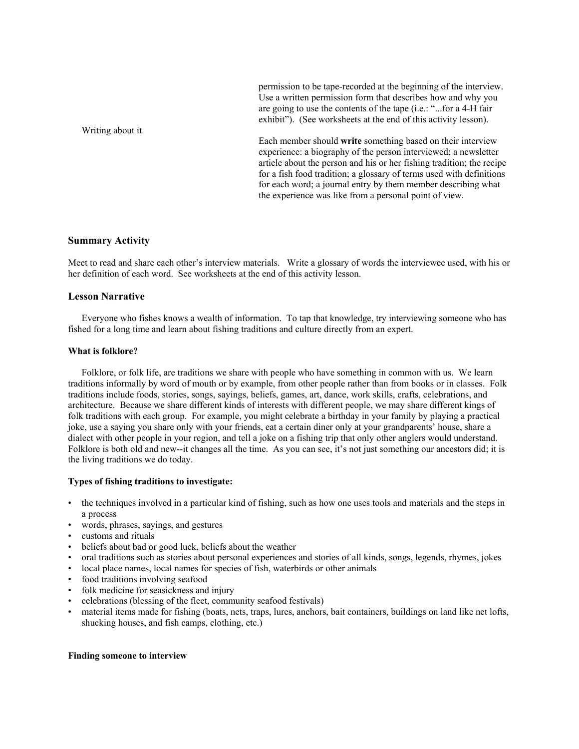Writing about it permission to be tape-recorded at the beginning of the interview. Use a written permission form that describes how and why you are going to use the contents of the tape (i.e.: "...for a 4-H fair exhibit"). (See worksheets at the end of this activity lesson). Each member should **write** something based on their interview experience: a biography of the person interviewed; a newsletter article about the person and his or her fishing tradition; the recipe for a fish food tradition; a glossary of terms used with definitions for each word; a journal entry by them member describing what the experience was like from a personal point of view.

#### **Summary Activity**

Meet to read and share each other's interview materials. Write a glossary of words the interviewee used, with his or her definition of each word. See worksheets at the end of this activity lesson.

# **Lesson Narrative**

Everyone who fishes knows a wealth of information. To tap that knowledge, try interviewing someone who has fished for a long time and learn about fishing traditions and culture directly from an expert.

#### **What is folklore?**

Folklore, or folk life, are traditions we share with people who have something in common with us. We learn traditions informally by word of mouth or by example, from other people rather than from books or in classes. Folk traditions include foods, stories, songs, sayings, beliefs, games, art, dance, work skills, crafts, celebrations, and architecture. Because we share different kinds of interests with different people, we may share different kings of folk traditions with each group. For example, you might celebrate a birthday in your family by playing a practical joke, use a saying you share only with your friends, eat a certain diner only at your grandparents' house, share a dialect with other people in your region, and tell a joke on a fishing trip that only other anglers would understand. Folklore is both old and new--it changes all the time. As you can see, it's not just something our ancestors did; it is the living traditions we do today.

#### **Types of fishing traditions to investigate:**

- the techniques involved in a particular kind of fishing, such as how one uses tools and materials and the steps in a process
- words, phrases, sayings, and gestures
- customs and rituals
- beliefs about bad or good luck, beliefs about the weather
- oral traditions such as stories about personal experiences and stories of all kinds, songs, legends, rhymes, jokes
- local place names, local names for species of fish, waterbirds or other animals
- food traditions involving seafood
- folk medicine for seasickness and injury
- celebrations (blessing of the fleet, community seafood festivals)
- material items made for fishing (boats, nets, traps, lures, anchors, bait containers, buildings on land like net lofts, shucking houses, and fish camps, clothing, etc.)

#### **Finding someone to interview**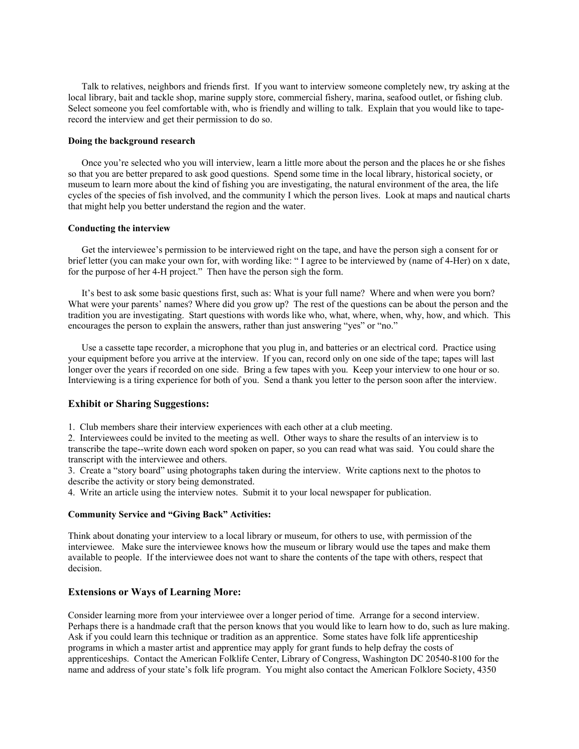Talk to relatives, neighbors and friends first. If you want to interview someone completely new, try asking at the local library, bait and tackle shop, marine supply store, commercial fishery, marina, seafood outlet, or fishing club. Select someone you feel comfortable with, who is friendly and willing to talk. Explain that you would like to taperecord the interview and get their permission to do so.

### **Doing the background research**

Once you're selected who you will interview, learn a little more about the person and the places he or she fishes so that you are better prepared to ask good questions. Spend some time in the local library, historical society, or museum to learn more about the kind of fishing you are investigating, the natural environment of the area, the life cycles of the species of fish involved, and the community I which the person lives. Look at maps and nautical charts that might help you better understand the region and the water.

#### **Conducting the interview**

Get the interviewee's permission to be interviewed right on the tape, and have the person sigh a consent for or brief letter (you can make your own for, with wording like: " I agree to be interviewed by (name of 4-Her) on x date, for the purpose of her 4-H project." Then have the person sigh the form.

It's best to ask some basic questions first, such as: What is your full name? Where and when were you born? What were your parents' names? Where did you grow up? The rest of the questions can be about the person and the tradition you are investigating. Start questions with words like who, what, where, when, why, how, and which. This encourages the person to explain the answers, rather than just answering "yes" or "no."

Use a cassette tape recorder, a microphone that you plug in, and batteries or an electrical cord. Practice using your equipment before you arrive at the interview. If you can, record only on one side of the tape; tapes will last longer over the years if recorded on one side. Bring a few tapes with you. Keep your interview to one hour or so. Interviewing is a tiring experience for both of you. Send a thank you letter to the person soon after the interview.

#### **Exhibit or Sharing Suggestions:**

1. Club members share their interview experiences with each other at a club meeting.

2. Interviewees could be invited to the meeting as well. Other ways to share the results of an interview is to transcribe the tape--write down each word spoken on paper, so you can read what was said. You could share the transcript with the interviewee and others.

3. Create a "story board" using photographs taken during the interview. Write captions next to the photos to describe the activity or story being demonstrated.

4. Write an article using the interview notes. Submit it to your local newspaper for publication.

#### **Community Service and "Giving Back" Activities:**

Think about donating your interview to a local library or museum, for others to use, with permission of the interviewee. Make sure the interviewee knows how the museum or library would use the tapes and make them available to people. If the interviewee does not want to share the contents of the tape with others, respect that decision.

#### **Extensions or Ways of Learning More:**

Consider learning more from your interviewee over a longer period of time. Arrange for a second interview. Perhaps there is a handmade craft that the person knows that you would like to learn how to do, such as lure making. Ask if you could learn this technique or tradition as an apprentice. Some states have folk life apprenticeship programs in which a master artist and apprentice may apply for grant funds to help defray the costs of apprenticeships. Contact the American Folklife Center, Library of Congress, Washington DC 20540-8100 for the name and address of your state's folk life program. You might also contact the American Folklore Society, 4350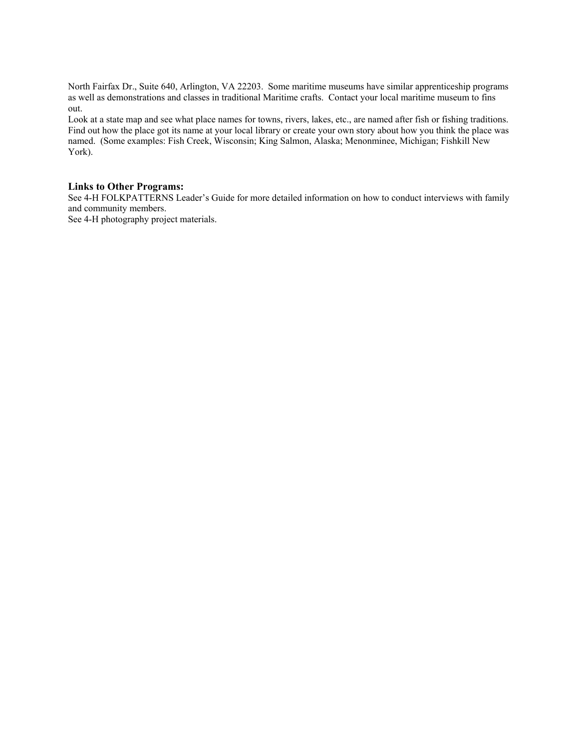North Fairfax Dr., Suite 640, Arlington, VA 22203. Some maritime museums have similar apprenticeship programs as well as demonstrations and classes in traditional Maritime crafts. Contact your local maritime museum to fins out.

Look at a state map and see what place names for towns, rivers, lakes, etc., are named after fish or fishing traditions. Find out how the place got its name at your local library or create your own story about how you think the place was named. (Some examples: Fish Creek, Wisconsin; King Salmon, Alaska; Menonminee, Michigan; Fishkill New York).

## **Links to Other Programs:**

See 4-H FOLKPATTERNS Leader's Guide for more detailed information on how to conduct interviews with family and community members.

See 4-H photography project materials.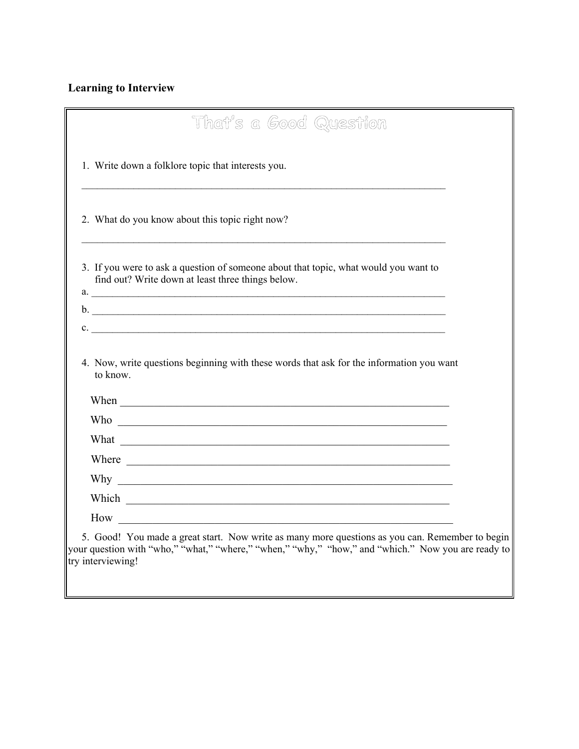# **Learning to Interview**

| 1. Write down a folklore topic that interests you.                                                                                                                                                                                                          |  |
|-------------------------------------------------------------------------------------------------------------------------------------------------------------------------------------------------------------------------------------------------------------|--|
|                                                                                                                                                                                                                                                             |  |
| 2. What do you know about this topic right now?                                                                                                                                                                                                             |  |
| 3. If you were to ask a question of someone about that topic, what would you want to<br>find out? Write down at least three things below.<br>a.                                                                                                             |  |
|                                                                                                                                                                                                                                                             |  |
|                                                                                                                                                                                                                                                             |  |
| $\mathbf{c}$ .                                                                                                                                                                                                                                              |  |
| 4. Now, write questions beginning with these words that ask for the information you want<br>to know.                                                                                                                                                        |  |
|                                                                                                                                                                                                                                                             |  |
|                                                                                                                                                                                                                                                             |  |
| Where <u>experience</u>                                                                                                                                                                                                                                     |  |
| Why we have a series of the series of the series of the series of the series of the series of the series of the series of the series of the series of the series of the series of the series of the series of the series of th                              |  |
| Which <u>example and the set of the set of the set of the set of the set of the set of the set of the set of the set of the set of the set of the set of the set of the set of the set of the set of the set of the set of the s</u><br>$How \qquad \qquad$ |  |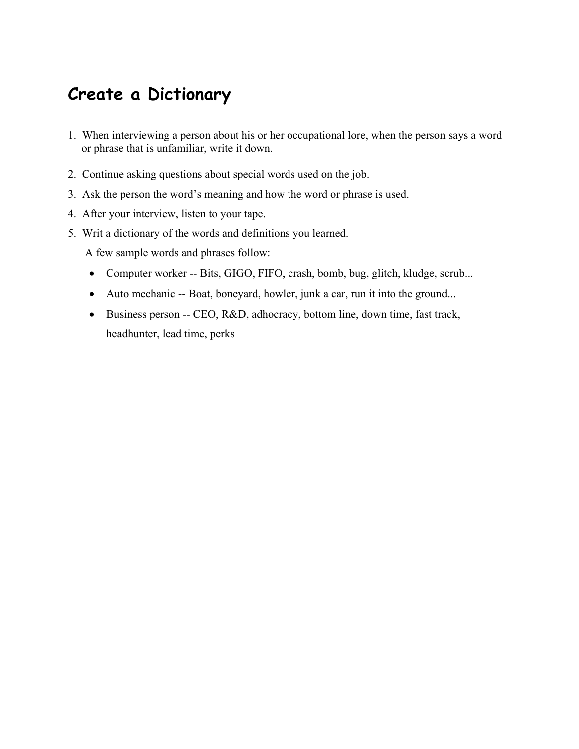# **Create a Dictionary**

- 1. When interviewing a person about his or her occupational lore, when the person says a word or phrase that is unfamiliar, write it down.
- 2. Continue asking questions about special words used on the job.
- 3. Ask the person the word's meaning and how the word or phrase is used.
- 4. After your interview, listen to your tape.
- 5. Writ a dictionary of the words and definitions you learned.

A few sample words and phrases follow:

- Computer worker -- Bits, GIGO, FIFO, crash, bomb, bug, glitch, kludge, scrub...
- Auto mechanic -- Boat, boneyard, howler, junk a car, run it into the ground...
- Business person -- CEO, R&D, adhocracy, bottom line, down time, fast track, headhunter, lead time, perks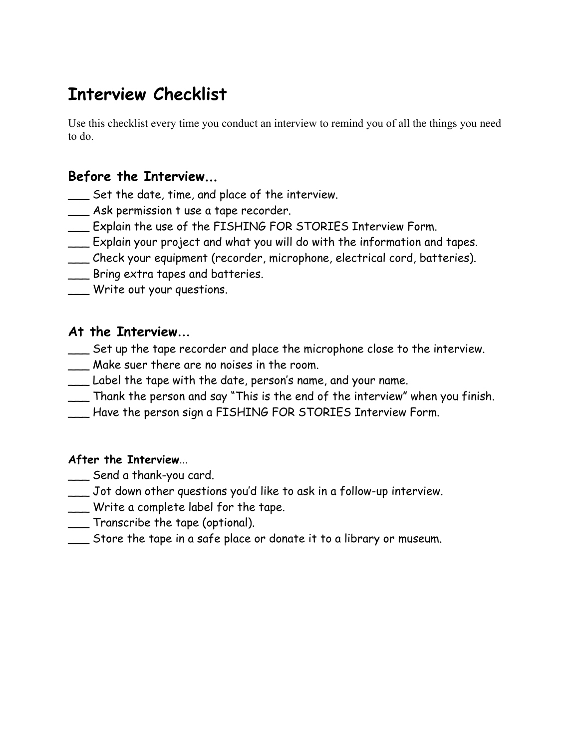# **Interview Checklist**

Use this checklist every time you conduct an interview to remind you of all the things you need to do.

# **Before the Interview**...

- \_\_\_ Set the date, time, and place of the interview.
- \_\_\_ Ask permission t use a tape recorder.
- \_\_\_ Explain the use of the FISHING FOR STORIES Interview Form.
- \_\_\_ Explain your project and what you will do with the information and tapes.
- \_\_\_ Check your equipment (recorder, microphone, electrical cord, batteries).
- \_\_\_ Bring extra tapes and batteries.
- \_\_\_ Write out your questions.

# **At the Interview**...

- \_\_\_ Set up the tape recorder and place the microphone close to the interview.
- \_\_\_ Make suer there are no noises in the room.
- \_\_\_ Label the tape with the date, person's name, and your name.
- \_\_\_ Thank the person and say "This is the end of the interview" when you finish.
- \_\_\_ Have the person sign a FISHING FOR STORIES Interview Form.

# **After the Interview**...

- \_\_\_ Send a thank-you card.
- \_\_\_ Jot down other questions you'd like to ask in a follow-up interview.
- \_\_\_ Write a complete label for the tape.
- \_\_\_ Transcribe the tape (optional).
- \_\_\_ Store the tape in a safe place or donate it to a library or museum.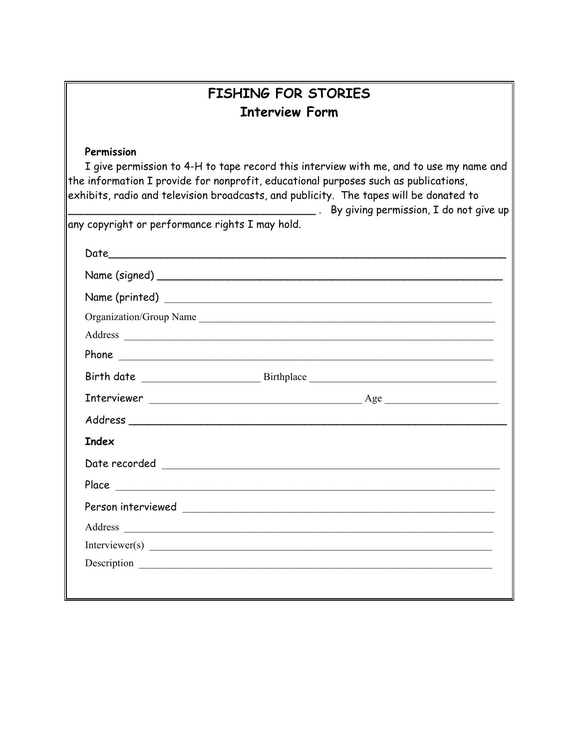| <b>FISHING FOR STORIES</b>                                                                                                                                                                                                                                                                                                                                                         |
|------------------------------------------------------------------------------------------------------------------------------------------------------------------------------------------------------------------------------------------------------------------------------------------------------------------------------------------------------------------------------------|
| <b>Interview Form</b>                                                                                                                                                                                                                                                                                                                                                              |
| Permission<br>I give permission to 4-H to tape record this interview with me, and to use my name and<br>the information I provide for nonprofit, educational purposes such as publications,<br>exhibits, radio and television broadcasts, and publicity. The tapes will be donated to<br>By giving permission, I do not give up<br>any copyright or performance rights I may hold. |
|                                                                                                                                                                                                                                                                                                                                                                                    |
|                                                                                                                                                                                                                                                                                                                                                                                    |
|                                                                                                                                                                                                                                                                                                                                                                                    |
| Organization/Group Name                                                                                                                                                                                                                                                                                                                                                            |
|                                                                                                                                                                                                                                                                                                                                                                                    |
|                                                                                                                                                                                                                                                                                                                                                                                    |
|                                                                                                                                                                                                                                                                                                                                                                                    |
|                                                                                                                                                                                                                                                                                                                                                                                    |
|                                                                                                                                                                                                                                                                                                                                                                                    |
| <b>Index</b>                                                                                                                                                                                                                                                                                                                                                                       |
|                                                                                                                                                                                                                                                                                                                                                                                    |
| Place                                                                                                                                                                                                                                                                                                                                                                              |
| Person interviewed<br><u> 1989 - Andrea Albert III, politik ar filozof (</u>                                                                                                                                                                                                                                                                                                       |
| Address                                                                                                                                                                                                                                                                                                                                                                            |
|                                                                                                                                                                                                                                                                                                                                                                                    |
|                                                                                                                                                                                                                                                                                                                                                                                    |
|                                                                                                                                                                                                                                                                                                                                                                                    |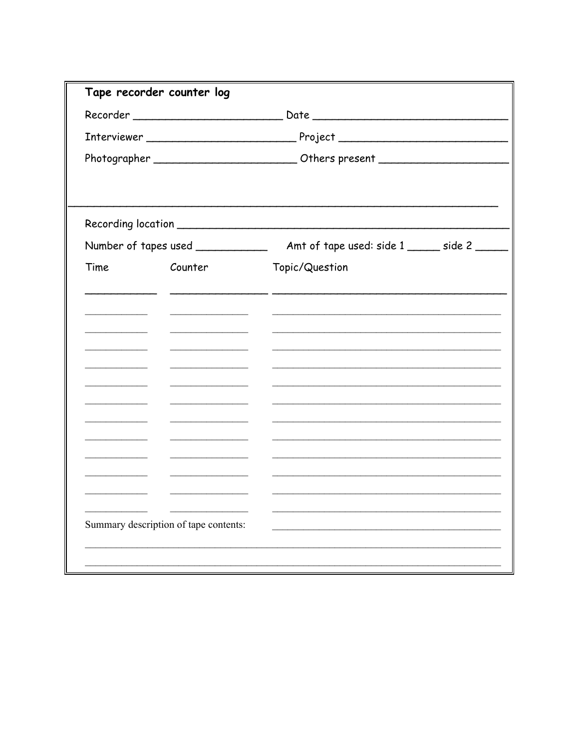|      | Tape recorder counter log             |                                                                                  |
|------|---------------------------------------|----------------------------------------------------------------------------------|
|      |                                       |                                                                                  |
|      |                                       |                                                                                  |
|      |                                       | Photographer ___________________________Others present _________________________ |
|      |                                       |                                                                                  |
|      |                                       |                                                                                  |
| Time | Counter                               | Topic/Question                                                                   |
|      |                                       |                                                                                  |
|      |                                       |                                                                                  |
|      |                                       |                                                                                  |
|      |                                       |                                                                                  |
|      |                                       |                                                                                  |
|      |                                       |                                                                                  |
|      |                                       |                                                                                  |
|      |                                       |                                                                                  |
|      |                                       |                                                                                  |
|      |                                       |                                                                                  |
|      |                                       |                                                                                  |
|      | Summary description of tape contents: |                                                                                  |
|      |                                       |                                                                                  |